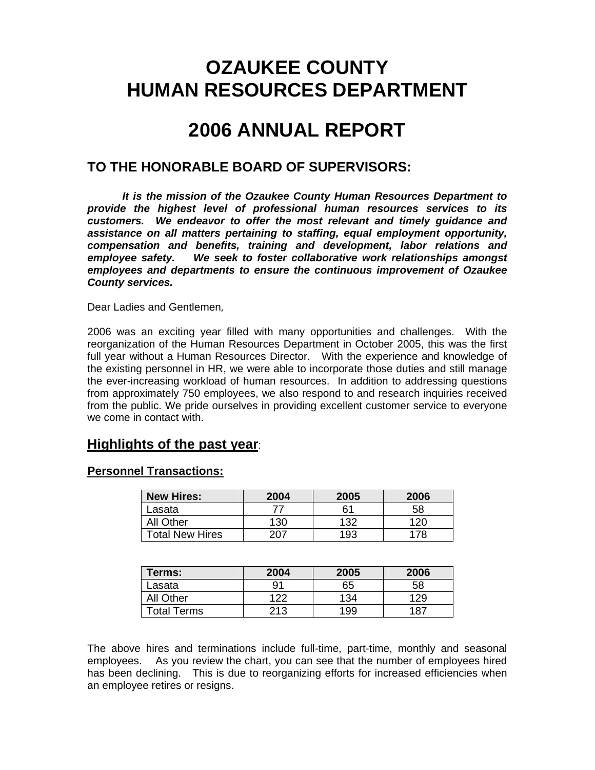# **OZAUKEE COUNTY HUMAN RESOURCES DEPARTMENT**

# **2006 ANNUAL REPORT**

## **TO THE HONORABLE BOARD OF SUPERVISORS:**

*It is the mission of the Ozaukee County Human Resources Department to provide the highest level of professional human resources services to its customers. We endeavor to offer the most relevant and timely guidance and assistance on all matters pertaining to staffing, equal employment opportunity, compensation and benefits, training and development, labor relations and employee safety. We seek to foster collaborative work relationships amongst employees and departments to ensure the continuous improvement of Ozaukee County services.* 

Dear Ladies and Gentlemen*,* 

2006 was an exciting year filled with many opportunities and challenges. With the reorganization of the Human Resources Department in October 2005, this was the first full year without a Human Resources Director. With the experience and knowledge of the existing personnel in HR, we were able to incorporate those duties and still manage the ever-increasing workload of human resources. In addition to addressing questions from approximately 750 employees, we also respond to and research inquiries received from the public. We pride ourselves in providing excellent customer service to everyone we come in contact with.

## **Highlights of the past year**:

## **Personnel Transactions:**

| <b>New Hires:</b>      | 2004 | 2005 | 2006 |
|------------------------|------|------|------|
| Lasata                 |      | 61   | 58   |
| All Other              | 130  | 132  | 20   |
| <b>Total New Hires</b> |      | 193  | 78   |

| Terms:             | 2004 | 2005 | 2006 |
|--------------------|------|------|------|
| Lasata             | 91   | 65   | 58   |
| <b>All Other</b>   | 122  | 134  | 129  |
| <b>Total Terms</b> | 213  | 199  | -187 |

The above hires and terminations include full-time, part-time, monthly and seasonal employees. As you review the chart, you can see that the number of employees hired has been declining. This is due to reorganizing efforts for increased efficiencies when an employee retires or resigns.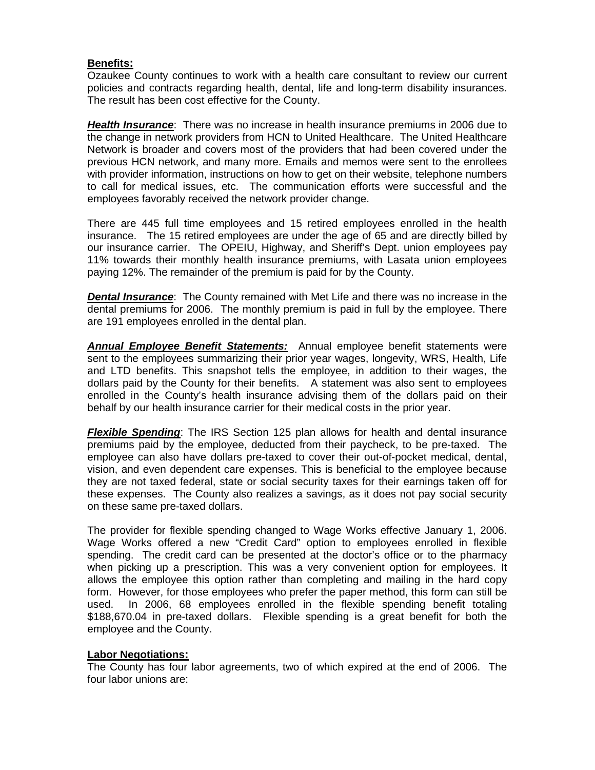## **Benefits:**

Ozaukee County continues to work with a health care consultant to review our current policies and contracts regarding health, dental, life and long-term disability insurances. The result has been cost effective for the County.

*Health Insurance*: There was no increase in health insurance premiums in 2006 due to the change in network providers from HCN to United Healthcare. The United Healthcare Network is broader and covers most of the providers that had been covered under the previous HCN network, and many more. Emails and memos were sent to the enrollees with provider information, instructions on how to get on their website, telephone numbers to call for medical issues, etc. The communication efforts were successful and the employees favorably received the network provider change.

There are 445 full time employees and 15 retired employees enrolled in the health insurance. The 15 retired employees are under the age of 65 and are directly billed by our insurance carrier. The OPEIU, Highway, and Sheriff's Dept. union employees pay 11% towards their monthly health insurance premiums, with Lasata union employees paying 12%. The remainder of the premium is paid for by the County.

**Dental Insurance**: The County remained with Met Life and there was no increase in the dental premiums for 2006. The monthly premium is paid in full by the employee. There are 191 employees enrolled in the dental plan.

*Annual Employee Benefit Statements:* Annual employee benefit statements were sent to the employees summarizing their prior year wages, longevity, WRS, Health, Life and LTD benefits. This snapshot tells the employee, in addition to their wages, the dollars paid by the County for their benefits. A statement was also sent to employees enrolled in the County's health insurance advising them of the dollars paid on their behalf by our health insurance carrier for their medical costs in the prior year.

*Flexible Spending*: The IRS Section 125 plan allows for health and dental insurance premiums paid by the employee, deducted from their paycheck, to be pre-taxed. The employee can also have dollars pre-taxed to cover their out-of-pocket medical, dental, vision, and even dependent care expenses. This is beneficial to the employee because they are not taxed federal, state or social security taxes for their earnings taken off for these expenses. The County also realizes a savings, as it does not pay social security on these same pre-taxed dollars.

The provider for flexible spending changed to Wage Works effective January 1, 2006. Wage Works offered a new "Credit Card" option to employees enrolled in flexible spending. The credit card can be presented at the doctor's office or to the pharmacy when picking up a prescription. This was a very convenient option for employees. It allows the employee this option rather than completing and mailing in the hard copy form. However, for those employees who prefer the paper method, this form can still be used. In 2006, 68 employees enrolled in the flexible spending benefit totaling \$188,670.04 in pre-taxed dollars. Flexible spending is a great benefit for both the employee and the County.

### **Labor Negotiations:**

The County has four labor agreements, two of which expired at the end of 2006. The four labor unions are: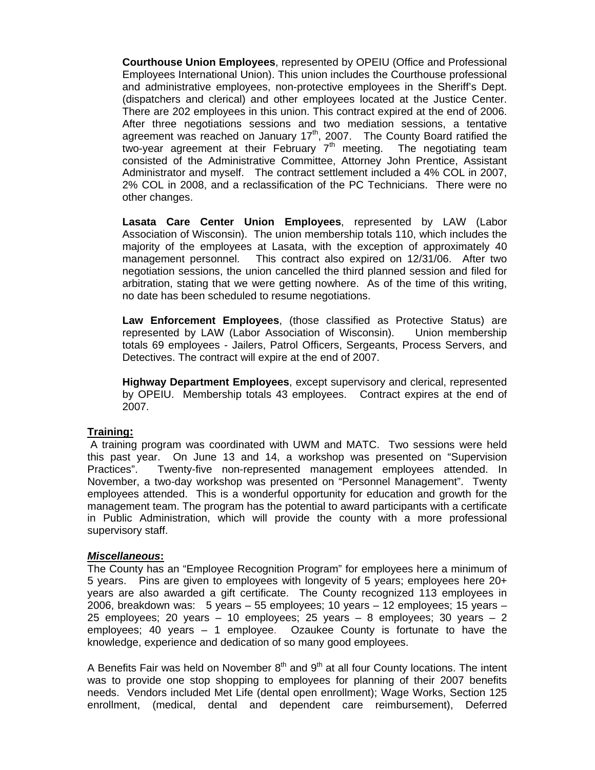**Courthouse Union Employees**, represented by OPEIU (Office and Professional Employees International Union). This union includes the Courthouse professional and administrative employees, non-protective employees in the Sheriff's Dept. (dispatchers and clerical) and other employees located at the Justice Center. There are 202 employees in this union. This contract expired at the end of 2006. After three negotiations sessions and two mediation sessions, a tentative agreement was reached on January  $17<sup>th</sup>$ , 2007. The County Board ratified the two-year agreement at their February  $7<sup>th</sup>$  meeting. The negotiating team consisted of the Administrative Committee, Attorney John Prentice, Assistant Administrator and myself. The contract settlement included a 4% COL in 2007, 2% COL in 2008, and a reclassification of the PC Technicians. There were no other changes.

**Lasata Care Center Union Employees**, represented by LAW (Labor Association of Wisconsin). The union membership totals 110, which includes the majority of the employees at Lasata, with the exception of approximately 40 management personnel. This contract also expired on 12/31/06. After two negotiation sessions, the union cancelled the third planned session and filed for arbitration, stating that we were getting nowhere. As of the time of this writing, no date has been scheduled to resume negotiations.

**Law Enforcement Employees**, (those classified as Protective Status) are represented by LAW (Labor Association of Wisconsin). Union membership totals 69 employees - Jailers, Patrol Officers, Sergeants, Process Servers, and Detectives. The contract will expire at the end of 2007.

**Highway Department Employees**, except supervisory and clerical, represented by OPEIU. Membership totals 43 employees. Contract expires at the end of 2007.

### **Training:**

 A training program was coordinated with UWM and MATC. Two sessions were held this past year. On June 13 and 14, a workshop was presented on "Supervision Practices". Twenty-five non-represented management employees attended. In November, a two-day workshop was presented on "Personnel Management". Twenty employees attended. This is a wonderful opportunity for education and growth for the management team. The program has the potential to award participants with a certificate in Public Administration, which will provide the county with a more professional supervisory staff.

### *Miscellaneous***:**

The County has an "Employee Recognition Program" for employees here a minimum of 5 years. Pins are given to employees with longevity of 5 years; employees here 20+ years are also awarded a gift certificate. The County recognized 113 employees in 2006, breakdown was: 5 years – 55 employees; 10 years – 12 employees; 15 years – 25 employees; 20 years – 10 employees; 25 years – 8 employees; 30 years – 2 employees; 40 years – 1 employee. Ozaukee County is fortunate to have the knowledge, experience and dedication of so many good employees.

A Benefits Fair was held on November  $8<sup>th</sup>$  and  $9<sup>th</sup>$  at all four County locations. The intent was to provide one stop shopping to employees for planning of their 2007 benefits needs. Vendors included Met Life (dental open enrollment); Wage Works, Section 125 enrollment, (medical, dental and dependent care reimbursement), Deferred